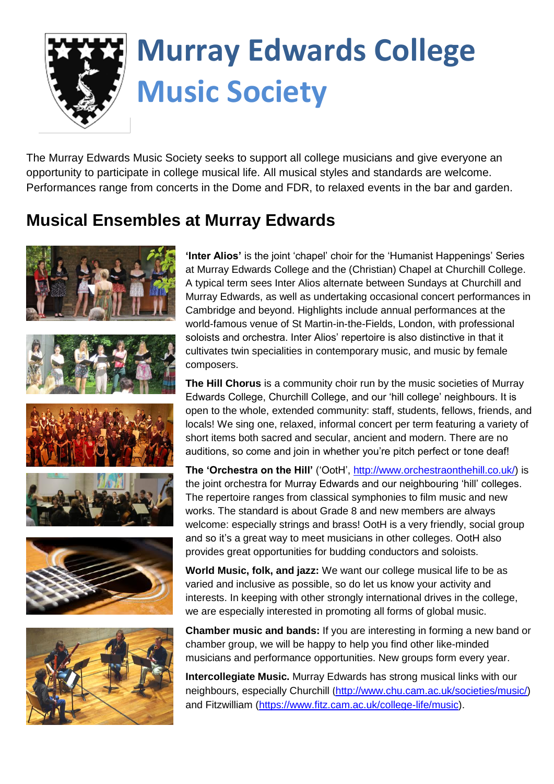

# **Murray Edwards College Music Society**

The Murray Edwards Music Society seeks to support all college musicians and give everyone an opportunity to participate in college musical life. All musical styles and standards are welcome. Performances range from concerts in the Dome and FDR, to relaxed events in the bar and garden.

#### **Musical Ensembles at Murray Edwards**



**'Inter Alios'** is the joint 'chapel' choir for the 'Humanist Happenings' Series at Murray Edwards College and the (Christian) Chapel at Churchill College. A typical term sees Inter Alios alternate between Sundays at Churchill and Murray Edwards, as well as undertaking occasional concert performances in Cambridge and beyond. Highlights include annual performances at the world-famous venue of St Martin-in-the-Fields, London, with professional soloists and orchestra. Inter Alios' repertoire is also distinctive in that it cultivates twin specialities in contemporary music, and music by female composers.

**The Hill Chorus** is a community choir run by the music societies of Murray Edwards College, Churchill College, and our 'hill college' neighbours. It is open to the whole, extended community: staff, students, fellows, friends, and locals! We sing one, relaxed, informal concert per term featuring a variety of short items both sacred and secular, ancient and modern. There are no auditions, so come and join in whether you're pitch perfect or tone deaf!

**The 'Orchestra on the Hill'** ('OotH', [http://www.orchestraonthehill.co.uk/\)](http://www.orchestraonthehill.co.uk/)) is the joint orchestra for Murray Edwards and our neighbouring 'hill' colleges. The repertoire ranges from classical symphonies to film music and new works. The standard is about Grade 8 and new members are always welcome: especially strings and brass! OotH is a very friendly, social group and so it's a great way to meet musicians in other colleges. OotH also provides great opportunities for budding conductors and soloists.

**World Music, folk, and jazz:** We want our college musical life to be as varied and inclusive as possible, so do let us know your activity and interests. In keeping with other strongly international drives in the college, we are especially interested in promoting all forms of global music.

**Chamber music and bands:** If you are interesting in forming a new band or chamber group, we will be happy to help you find other like-minded musicians and performance opportunities. New groups form every year.

**Intercollegiate Music.** Murray Edwards has strong musical links with our neighbours, especially Churchill ([http://www.chu.cam.ac.uk/societies/music/\)](http://www.chu.cam.ac.uk/societies/music/) and Fitzwilliam [\(https://www.fitz.cam.ac.uk/college-life/music\)](https://www.fitz.cam.ac.uk/college-life/music).